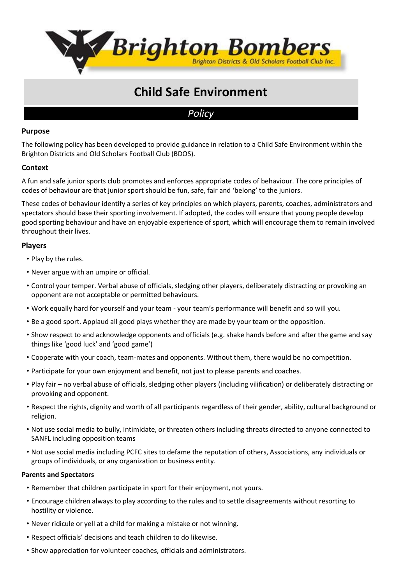

# **Child Safe Environment**

# *Policy*

# **Purpose**

The following policy has been developed to provide guidance in relation to a Child Safe Environment within the Brighton Districts and Old Scholars Football Club (BDOS).

# **Context**

A fun and safe junior sports club promotes and enforces appropriate codes of behaviour. The core principles of codes of behaviour are that junior sport should be fun, safe, fair and 'belong' to the juniors.

These codes of behaviour identify a series of key principles on which players, parents, coaches, administrators and spectators should base their sporting involvement. If adopted, the codes will ensure that young people develop good sporting behaviour and have an enjoyable experience of sport, which will encourage them to remain involved throughout their lives.

# **Players**

- Play by the rules.
- Never argue with an umpire or official.
- Control your temper. Verbal abuse of officials, sledging other players, deliberately distracting or provoking an opponent are not acceptable or permitted behaviours.
- Work equally hard for yourself and your team your team's performance will benefit and so will you.
- Be a good sport. Applaud all good plays whether they are made by your team or the opposition.
- Show respect to and acknowledge opponents and officials (e.g. shake hands before and after the game and say things like 'good luck' and 'good game')
- Cooperate with your coach, team-mates and opponents. Without them, there would be no competition.
- Participate for your own enjoyment and benefit, not just to please parents and coaches.
- Play fair no verbal abuse of officials, sledging other players (including vilification) or deliberately distracting or provoking and opponent.
- Respect the rights, dignity and worth of all participants regardless of their gender, ability, cultural background or religion.
- Not use social media to bully, intimidate, or threaten others including threats directed to anyone connected to SANFL including opposition teams
- Not use social media including PCFC sites to defame the reputation of others, Associations, any individuals or groups of individuals, or any organization or business entity.

## **Parents and Spectators**

- Remember that children participate in sport for their enjoyment, not yours.
- Encourage children always to play according to the rules and to settle disagreements without resorting to hostility or violence.
- Never ridicule or yell at a child for making a mistake or not winning.
- Respect officials' decisions and teach children to do likewise.
- Show appreciation for volunteer coaches, officials and administrators.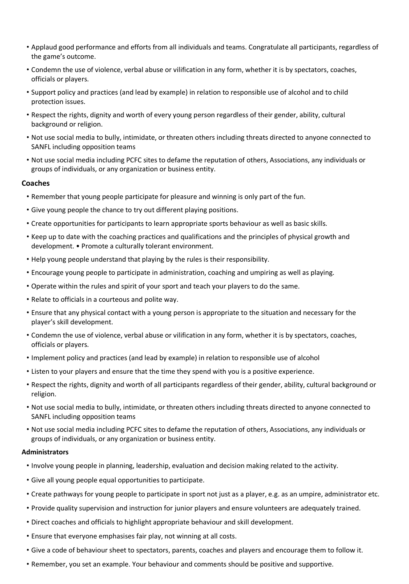- Applaud good performance and efforts from all individuals and teams. Congratulate all participants, regardless of the game's outcome.
- Condemn the use of violence, verbal abuse or vilification in any form, whether it is by spectators, coaches, officials or players.
- Support policy and practices (and lead by example) in relation to responsible use of alcohol and to child protection issues.
- Respect the rights, dignity and worth of every young person regardless of their gender, ability, cultural background or religion.
- Not use social media to bully, intimidate, or threaten others including threats directed to anyone connected to SANFL including opposition teams
- Not use social media including PCFC sites to defame the reputation of others, Associations, any individuals or groups of individuals, or any organization or business entity.

#### **Coaches**

- Remember that young people participate for pleasure and winning is only part of the fun.
- Give young people the chance to try out different playing positions.
- Create opportunities for participants to learn appropriate sports behaviour as well as basic skills.
- Keep up to date with the coaching practices and qualifications and the principles of physical growth and development. • Promote a culturally tolerant environment.
- Help young people understand that playing by the rules is their responsibility.
- Encourage young people to participate in administration, coaching and umpiring as well as playing.
- Operate within the rules and spirit of your sport and teach your players to do the same.
- Relate to officials in a courteous and polite way.
- Ensure that any physical contact with a young person is appropriate to the situation and necessary for the player's skill development.
- Condemn the use of violence, verbal abuse or vilification in any form, whether it is by spectators, coaches, officials or players.
- Implement policy and practices (and lead by example) in relation to responsible use of alcohol
- Listen to your players and ensure that the time they spend with you is a positive experience.
- Respect the rights, dignity and worth of all participants regardless of their gender, ability, cultural background or religion.
- Not use social media to bully, intimidate, or threaten others including threats directed to anyone connected to SANFL including opposition teams
- Not use social media including PCFC sites to defame the reputation of others, Associations, any individuals or groups of individuals, or any organization or business entity.

#### **Administrators**

- Involve young people in planning, leadership, evaluation and decision making related to the activity.
- Give all young people equal opportunities to participate.
- Create pathways for young people to participate in sport not just as a player, e.g. as an umpire, administrator etc.
- Provide quality supervision and instruction for junior players and ensure volunteers are adequately trained.
- Direct coaches and officials to highlight appropriate behaviour and skill development.
- Ensure that everyone emphasises fair play, not winning at all costs.
- Give a code of behaviour sheet to spectators, parents, coaches and players and encourage them to follow it.
- Remember, you set an example. Your behaviour and comments should be positive and supportive.